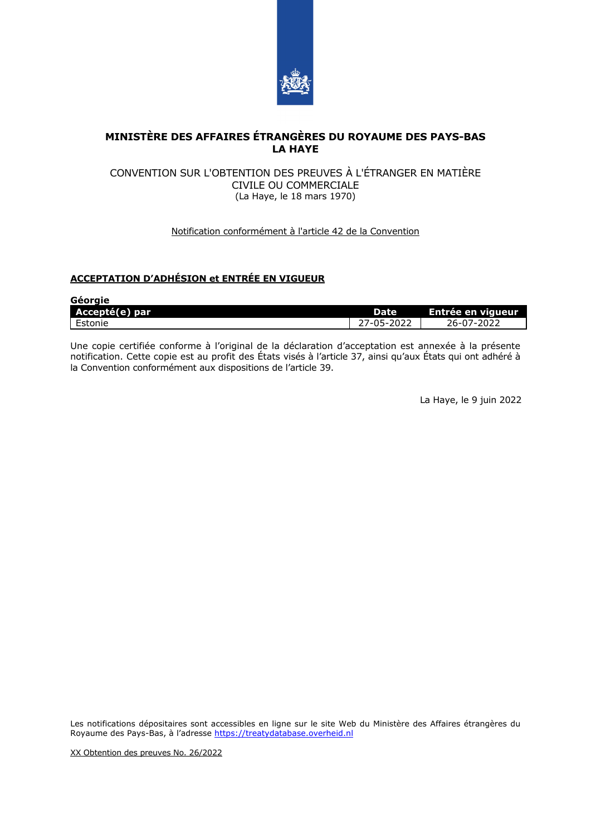

## **MINISTÈRE DES AFFAIRES ÉTRANGÈRES DU ROYAUME DES PAYS-BAS LA HAYE**

## CONVENTION SUR L'OBTENTION DES PREUVES À L'ÉTRANGER EN MATIÈRE CIVILE OU COMMERCIALE (La Haye, le 18 mars 1970)

## Notification conformément à l'article 42 de la Convention

## **ACCEPTATION D'ADHÉSION et ENTRÉE EN VIGUEUR**

| Géorgie        |             |                      |
|----------------|-------------|----------------------|
| Accepté(e) par | <b>Date</b> | ' Entrée en vigueur, |
| Estonie        | 27-05-2022  | 26-07-2022           |

Une copie certifiée conforme à l'original de la déclaration d'acceptation est annexée à la présente notification. Cette copie est au profit des États visés à l'article 37, ainsi qu'aux États qui ont adhéré à la Convention conformément aux dispositions de l'article 39.

La Haye, le 9 juin 2022

Les notifications dépositaires sont accessibles en ligne sur le site Web du Ministère des Affaires étrangères du Royaume des Pays-Bas, à l'adresse [https://treatydatabase.overheid.nl](https://treatydatabase.overheid.nl/)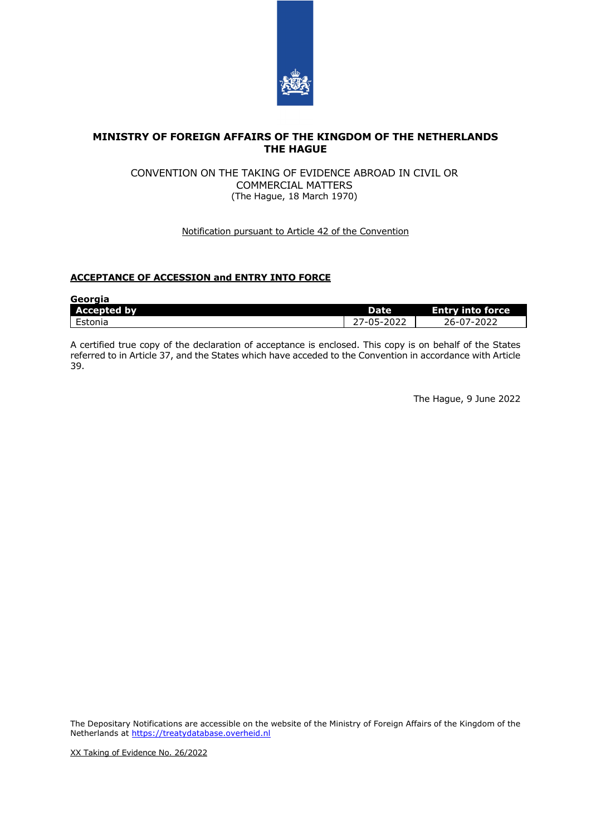

## **MINISTRY OF FOREIGN AFFAIRS OF THE KINGDOM OF THE NETHERLANDS THE HAGUE**

## CONVENTION ON THE TAKING OF EVIDENCE ABROAD IN CIVIL OR COMMERCIAL MATTERS (The Hague, 18 March 1970)

## Notification pursuant to Article 42 of the Convention

# **ACCEPTANCE OF ACCESSION and ENTRY INTO FORCE**

| Georgia            |                        |                         |
|--------------------|------------------------|-------------------------|
| <b>Accepted by</b> | Date                   | <b>Entry into force</b> |
| Estonia            | <sup>ን</sup> 7-05-2022 | 26-07-2022              |

A certified true copy of the declaration of acceptance is enclosed. This copy is on behalf of the States referred to in Article 37, and the States which have acceded to the Convention in accordance with Article 39.

The Hague, 9 June 2022

The Depositary Notifications are accessible on the website of the Ministry of Foreign Affairs of the Kingdom of the Netherlands at [https://treatydatabase.overheid.nl](https://treatydatabase.overheid.nl/)

XX Taking of Evidence No. 26/2022